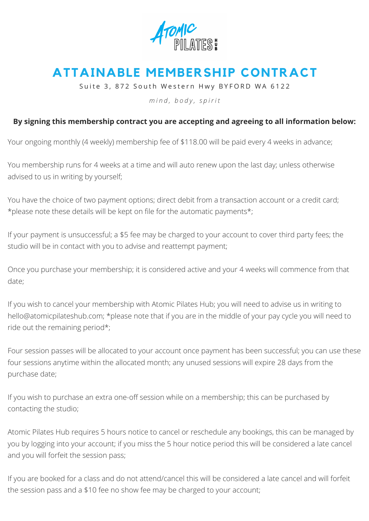

## **ATTAINABLE MEMBERSHIP CONTRACT**

Suite 3, 872 South Western Hwy BYFORD WA 6122

*m i n d , b o d y , s p i r i t*

## **By signing this membership contract you are accepting and agreeing to all information below:**

Your ongoing monthly (4 weekly) membership fee of \$118.00 will be paid every 4 weeks in advance;

You membership runs for 4 weeks at a time and will auto renew upon the last day; unless otherwise advised to us in writing by yourself;

You have the choice of two payment options; direct debit from a transaction account or a credit card; \*please note these details will be kept on file for the automatic payments\*;

If your payment is unsuccessful; a \$5 fee may be charged to your account to cover third party fees; the studio will be in contact with you to advise and reattempt payment;

Once you purchase your membership; it is considered active and your 4 weeks will commence from that date;

If you wish to cancel your membership with Atomic Pilates Hub; you will need to advise us in writing to [hello@atomicpilateshub.com;](mailto:hello@atomicpilates.com.au) \*please note that if you are in the middle of your pay cycle you will need to ride out the remaining period\*;

Four session passes will be allocated to your account once payment has been successful; you can use these four sessions anytime within the allocated month; any unused sessions will expire 28 days from the purchase date;

If you wish to purchase an extra one-off session while on a membership; this can be purchased by contacting the studio;

Atomic Pilates Hub requires 5 hours notice to cancel or reschedule any bookings, this can be managed by you by logging into your account; if you miss the 5 hour notice period this will be considered a late cancel and you will forfeit the session pass;

If you are booked for a class and do not attend/cancel this will be considered a late cancel and will forfeit the session pass and a \$10 fee no show fee may be charged to your account;